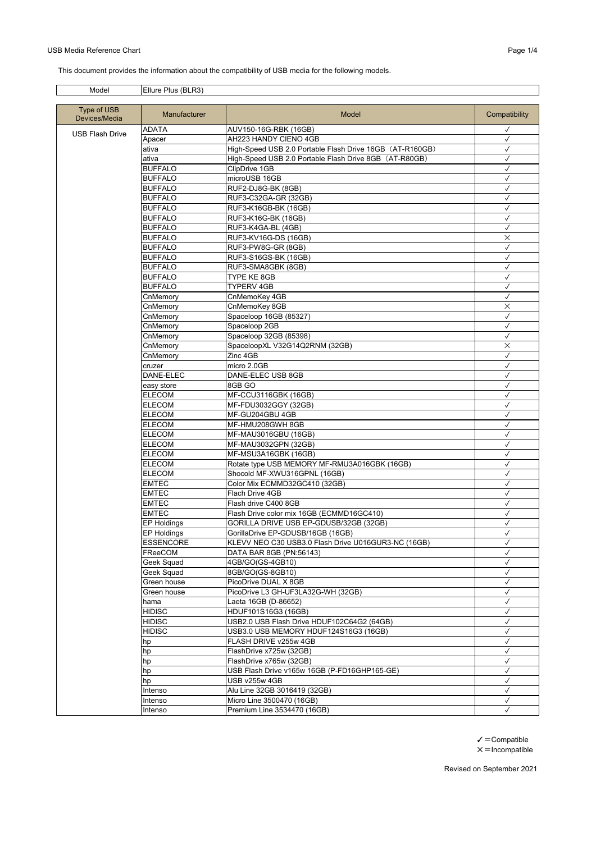## USB Media Reference Chart **Page 1/4** and the control of the control of the control of the control of the control of the control of the control of the control of the control of the control of the control of the control of t

| Model                        | Ellure Plus (BLR3)                       |                                                                             |                              |
|------------------------------|------------------------------------------|-----------------------------------------------------------------------------|------------------------------|
|                              |                                          |                                                                             |                              |
| Type of USB<br>Devices/Media | Manufacturer                             | <b>Model</b>                                                                | Compatibility                |
| <b>USB Flash Drive</b>       | <b>ADATA</b>                             | AUV150-16G-RBK (16GB)                                                       | $\checkmark$                 |
|                              | Apacer                                   | AH223 HANDY CIENO 4GB                                                       | ✓                            |
|                              | ativa                                    | High-Speed USB 2.0 Portable Flash Drive 16GB (AT-R160GB)                    | $\checkmark$                 |
|                              | ativa                                    | High-Speed USB 2.0 Portable Flash Drive 8GB (AT-R80GB)                      | $\checkmark$                 |
|                              | <b>BUFFALO</b>                           | ClipDrive 1GB                                                               | ✓                            |
|                              | <b>BUFFALO</b>                           | microUSB 16GB                                                               | $\checkmark$                 |
|                              | <b>BUFFALO</b>                           | RUF2-DJ8G-BK (8GB)                                                          | √                            |
|                              | <b>BUFFALO</b>                           | RUF3-C32GA-GR (32GB)                                                        | $\checkmark$                 |
|                              | <b>BUFFALO</b>                           | RUF3-K16GB-BK (16GB)                                                        | $\checkmark$                 |
|                              | <b>BUFFALO</b>                           | RUF3-K16G-BK (16GB)                                                         | √                            |
|                              | <b>BUFFALO</b>                           | RUF3-K4GA-BL (4GB)                                                          | $\checkmark$                 |
|                              | <b>BUFFALO</b>                           | RUF3-KV16G-DS (16GB)                                                        | $\times$                     |
|                              | <b>BUFFALO</b>                           | RUF3-PW8G-GR (8GB)                                                          | √                            |
|                              | <b>BUFFALO</b>                           | RUF3-S16GS-BK (16GB)                                                        | $\checkmark$                 |
|                              | <b>BUFFALO</b>                           | RUF3-SMA8GBK (8GB)                                                          | $\checkmark$                 |
|                              | <b>BUFFALO</b>                           | TYPE KE 8GB                                                                 | ✓                            |
|                              | <b>BUFFALO</b>                           | <b>TYPERV 4GB</b>                                                           | $\checkmark$                 |
|                              | CnMemory                                 | CnMemoKey 4GB                                                               | $\checkmark$                 |
|                              | CnMemory                                 | CnMemoKey 8GB                                                               | $\times$                     |
|                              | CnMemory                                 | Spaceloop 16GB (85327)                                                      | $\checkmark$                 |
|                              | CnMemory                                 | Spaceloop 2GB                                                               | $\checkmark$                 |
|                              | CnMemory                                 | Spaceloop 32GB (85398)                                                      | $\checkmark$                 |
|                              | CnMemory                                 | SpaceloopXL V32G14Q2RNM (32GB)                                              | $\times$                     |
|                              | CnMemory                                 | Zinc 4GB                                                                    | $\checkmark$                 |
|                              | cruzer                                   | micro 2.0GB                                                                 | $\checkmark$                 |
|                              | DANE-ELEC                                | DANE-ELEC USB 8GB                                                           | $\checkmark$                 |
|                              | easy store                               | 8GB GO                                                                      | $\checkmark$                 |
|                              | <b>ELECOM</b>                            | MF-CCU3116GBK (16GB)                                                        | $\checkmark$                 |
|                              | <b>ELECOM</b>                            | MF-FDU3032GGY (32GB)                                                        | $\checkmark$                 |
|                              | <b>ELECOM</b>                            | MF-GU204GBU 4GB                                                             | $\checkmark$                 |
|                              | <b>ELECOM</b>                            | MF-HMU208GWH 8GB                                                            | $\checkmark$                 |
|                              | <b>ELECOM</b>                            | MF-MAU3016GBU (16GB)                                                        | $\checkmark$                 |
|                              | <b>ELECOM</b>                            | MF-MAU3032GPN (32GB)                                                        | $\checkmark$                 |
|                              | <b>ELECOM</b>                            | MF-MSU3A16GBK (16GB)                                                        | $\checkmark$                 |
|                              | <b>ELECOM</b>                            | Rotate type USB MEMORY MF-RMU3A016GBK (16GB)                                | √                            |
|                              | <b>ELECOM</b>                            | Shocold MF-XWU316GPNL (16GB)<br>Color Mix ECMMD32GC410 (32GB)               | $\checkmark$                 |
|                              | <b>EMTEC</b>                             | Flach Drive 4GB                                                             | $\checkmark$                 |
|                              | EMTEC<br><b>EMTEC</b>                    | Flash drive C400 8GB                                                        | √<br>$\checkmark$            |
|                              | EMTEC                                    | Flash Drive color mix 16GB (ECMMD16GC410)                                   | $\checkmark$                 |
|                              |                                          |                                                                             |                              |
|                              | <b>EP Holdings</b><br><b>EP Holdings</b> | GORILLA DRIVE USB EP-GDUSB/32GB (32GB)<br>GorillaDrive EP-GDUSB/16GB (16GB) | √<br>$\checkmark$            |
|                              | ESSENCORE                                | KLEVV NEO C30 USB3.0 Flash Drive U016GUR3-NC (16GB)                         | $\checkmark$                 |
|                              | FReeCOM                                  |                                                                             |                              |
|                              | Geek Squad                               | DATA BAR 8GB (PN:56143)<br>4GB/GO(GS-4GB10)                                 | $\checkmark$<br>$\checkmark$ |
|                              | Geek Squad                               | 8GB/GO(GS-8GB10)                                                            | $\checkmark$                 |
|                              | Green house                              | PicoDrive DUAL X 8GB                                                        | $\checkmark$                 |
|                              | Green house                              | PicoDrive L3 GH-UF3LA32G-WH (32GB)                                          | ✓                            |
|                              | hama                                     | Laeta 16GB (D-86652)                                                        | ✓                            |
|                              | HIDISC                                   | HDUF101S16G3 (16GB)                                                         | ✓                            |
|                              | HIDISC                                   | USB2.0 USB Flash Drive HDUF102C64G2 (64GB)                                  | $\checkmark$                 |
|                              | HIDISC                                   | USB3.0 USB MEMORY HDUF124S16G3 (16GB)                                       | $\checkmark$                 |
|                              | hp                                       | FLASH DRIVE v255w 4GB                                                       | $\checkmark$                 |
|                              | hp                                       | FlashDrive x725w (32GB)                                                     | $\checkmark$                 |
|                              | hp                                       | FlashDrive x765w (32GB)                                                     | $\checkmark$                 |
|                              | hp                                       | USB Flash Drive v165w 16GB (P-FD16GHP165-GE)                                | $\checkmark$                 |
|                              | hp                                       | USB v255w 4GB                                                               | $\checkmark$                 |
|                              | Intenso                                  | Alu Line 32GB 3016419 (32GB)                                                | $\checkmark$                 |
|                              | Intenso                                  | Micro Line 3500470 (16GB)                                                   | $\checkmark$                 |
|                              | Intenso                                  | Premium Line 3534470 (16GB)                                                 | $\checkmark$                 |
|                              |                                          |                                                                             |                              |

 $\checkmark$  = Compatible  $x =$ Incompatible

 $\overline{\phantom{0}}$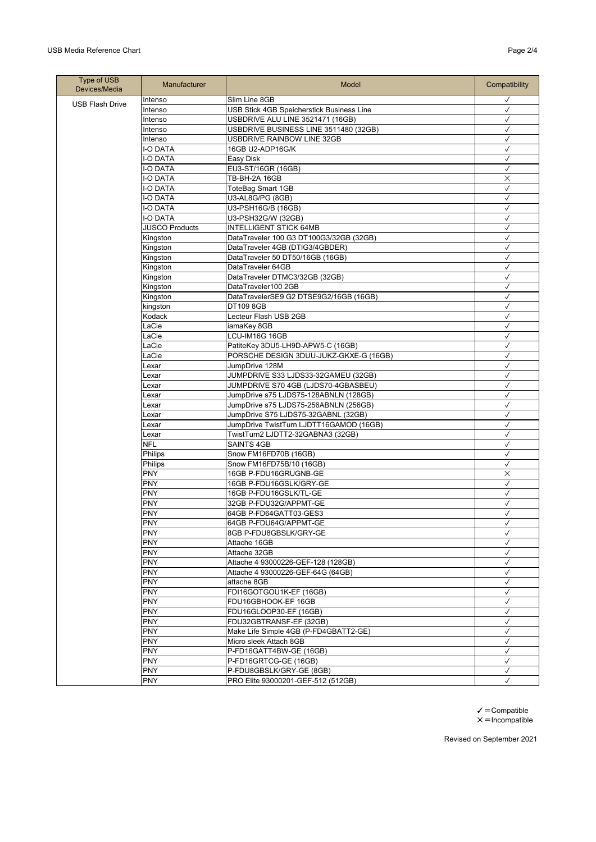| Type of USB<br>Devices/Media | Manufacturer          | Model                                     | Compatibility |
|------------------------------|-----------------------|-------------------------------------------|---------------|
| <b>USB Flash Drive</b>       | Intenso               | Slim Line 8GB                             | ✓             |
|                              | Intenso               | USB Stick 4GB Speicherstick Business Line | $\checkmark$  |
|                              | Intenso               | USBDRIVE ALU LINE 3521471 (16GB)          | $\checkmark$  |
|                              | Intenso               | USBDRIVE BUSINESS LINE 3511480 (32GB)     | ✓             |
|                              | Intenso               | USBDRIVE RAINBOW LINE 32GB                | √             |
|                              | I-O DATA              | 16GB U2-ADP16G/K                          | $\checkmark$  |
|                              | I-O DATA              | Easy Disk                                 | $\checkmark$  |
|                              | I-O DATA              | EU3-ST/16GR (16GB)                        | $\checkmark$  |
|                              | I-O DATA              | TB-BH-2A 16GB                             | $\times$      |
|                              | I-O DATA              | ToteBag Smart 1GB                         | ✓             |
|                              | <b>I-O DATA</b>       | U3-AL8G/PG (8GB)                          | $\checkmark$  |
|                              | I-O DATA              | U3-PSH16G/B (16GB)                        | $\checkmark$  |
|                              | I-O DATA              | U3-PSH32G/W (32GB)                        | $\checkmark$  |
|                              | <b>JUSCO Products</b> | <b>INTELLIGENT STICK 64MB</b>             | $\checkmark$  |
|                              | Kingston              | DataTraveler 100 G3 DT100G3/32GB (32GB)   | $\checkmark$  |
|                              | Kingston              | DataTraveler 4GB (DTIG3/4GBDER)           | $\checkmark$  |
|                              | Kingston              | DataTraveler 50 DT50/16GB (16GB)          | $\checkmark$  |
|                              | Kingston              | DataTraveler 64GB                         | $\checkmark$  |
|                              | Kingston              | DataTraveler DTMC3/32GB (32GB)            | √             |
|                              | Kingston              | DataTraveler100 2GB                       | $\checkmark$  |
|                              | Kingston              | DataTravelerSE9 G2 DTSE9G2/16GB (16GB)    | ✓             |
|                              | kingston              | DT109 8GB                                 | $\checkmark$  |
|                              | Kodack                | Lecteur Flash USB 2GB                     | $\checkmark$  |
|                              | LaCie                 | iamaKey 8GB                               | $\checkmark$  |
|                              | LaCie                 | LCU-IM16G 16GB                            | $\checkmark$  |
|                              | LaCie                 | PatiteKey 3DU5-LH9D-APW5-C (16GB)         | $\checkmark$  |
|                              | LaCie                 | PORSCHE DESIGN 3DUU-JUKZ-GKXE-G (16GB)    | $\checkmark$  |
|                              | Lexar                 | JumpDrive 128M                            | $\checkmark$  |
|                              | Lexar                 | JUMPDRIVE S33 LJDS33-32GAMEU (32GB)       | $\checkmark$  |
|                              | Lexar                 | JUMPDRIVE S70 4GB (LJDS70-4GBASBEU)       | $\checkmark$  |
|                              | Lexar                 | JumpDrive s75 LJDS75-128ABNLN (128GB)     | $\checkmark$  |
|                              | _exar                 | JumpDrive s75 LJDS75-256ABNLN (256GB)     | √             |
|                              | Lexar                 | JumpDrive S75 LJDS75-32GABNL (32GB)       | $\checkmark$  |
|                              | Lexar                 | JumpDrive TwistTurn LJDTT16GAMOD (16GB)   | $\checkmark$  |
|                              | Lexar                 | TwistTurn2 LJDTT2-32GABNA3 (32GB)         | √             |
|                              | <b>NFL</b>            | <b>SAINTS 4GB</b>                         | $\checkmark$  |
|                              | Philips               | Snow FM16FD70B (16GB)                     | $\checkmark$  |
|                              | Philips               | Snow FM16FD75B/10 (16GB)                  | $\checkmark$  |
|                              | <b>PNY</b>            | 16GB P-FDU16GRUGNB-GE                     | $\times$      |
|                              | <b>PNY</b>            | 16GB P-FDU16GSLK/GRY-GE                   | $\checkmark$  |
|                              | <b>PNY</b>            | 16GB P-FDU16GSLK/TL-GE                    | $\checkmark$  |
|                              | <b>PNY</b>            | 32GB P-FDU32G/APPMT-GE                    | $\checkmark$  |
|                              | <b>PNY</b>            | 64GB P-FD64GATT03-GES3                    | $\checkmark$  |
|                              | <b>PNY</b>            | 64GB P-FDU64G/APPMT-GE                    | ✓             |
|                              | <b>PNY</b>            | 8GB P-FDU8GBSLK/GRY-GE                    | $\checkmark$  |
|                              | PNY.                  | Attache 16GB                              | ✓             |
|                              | <b>PNY</b>            | Attache 32GB                              | $\checkmark$  |
|                              | <b>PNY</b>            | Attache 4 93000226-GEF-128 (128GB)        | $\checkmark$  |
|                              | <b>PNY</b>            | Attache 4 93000226-GEF-64G (64GB)         | $\checkmark$  |
|                              | <b>PNY</b>            | attache 8GB                               | $\checkmark$  |
|                              | <b>PNY</b>            | FDI16GOTGOU1K-EF (16GB)                   | $\checkmark$  |
|                              | <b>PNY</b>            | FDU16GBHOOK-EF 16GB                       | $\checkmark$  |
|                              | <b>PNY</b>            | FDU16GLOOP30-EF (16GB)                    | $\checkmark$  |
|                              | <b>PNY</b>            | FDU32GBTRANSF-EF (32GB)                   | $\checkmark$  |
|                              | <b>PNY</b>            | Make Life Simple 4GB (P-FD4GBATT2-GE)     | $\checkmark$  |
|                              | <b>PNY</b>            | Micro sleek Attach 8GB                    | $\checkmark$  |
|                              | <b>PNY</b>            | P-FD16GATT4BW-GE (16GB)                   | $\checkmark$  |
|                              | <b>PNY</b>            | P-FD16GRTCG-GE (16GB)                     | $\checkmark$  |
|                              | <b>PNY</b>            | P-FDU8GBSLK/GRY-GE (8GB)                  | $\checkmark$  |
|                              | <b>PNY</b>            | PRO Elite 93000201-GEF-512 (512GB)        | $\checkmark$  |

 $\checkmark$  = Compatible  $x =$ Incompatible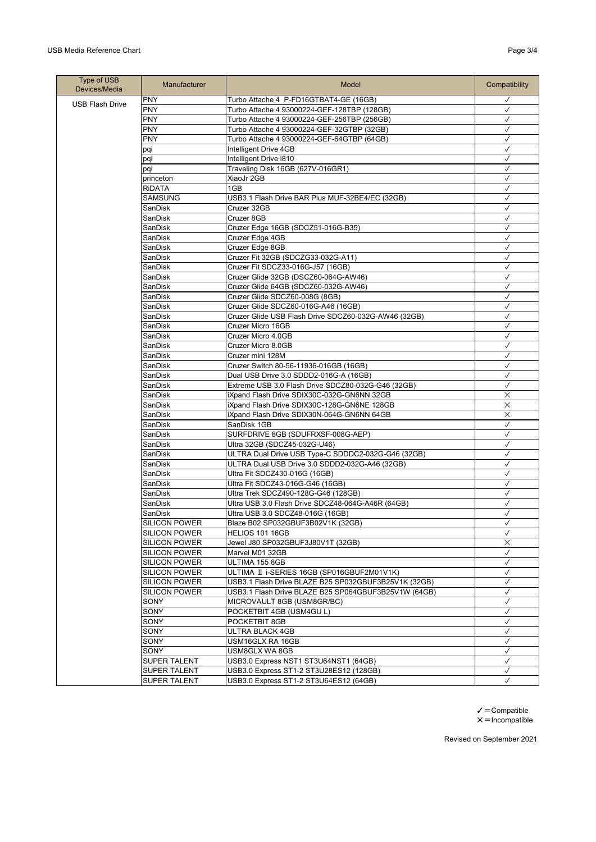| <b>Type of USB</b><br>Devices/Media | Manufacturer         | Model                                                | Compatibility |
|-------------------------------------|----------------------|------------------------------------------------------|---------------|
| <b>USB Flash Drive</b>              | <b>PNY</b>           | Turbo Attache 4 P-FD16GTBAT4-GE (16GB)               | $\checkmark$  |
|                                     | <b>PNY</b>           | Turbo Attache 4 93000224-GEF-128TBP (128GB)          | $\checkmark$  |
|                                     | <b>PNY</b>           | Turbo Attache 4 93000224-GEF-256TBP (256GB)          | $\checkmark$  |
|                                     | <b>PNY</b>           | Turbo Attache 4 93000224-GEF-32GTBP (32GB)           | $\checkmark$  |
|                                     | <b>PNY</b>           | Turbo Attache 4 93000224-GEF-64GTBP (64GB)           | $\checkmark$  |
|                                     | pqi                  | Intelligent Drive 4GB                                | $\checkmark$  |
|                                     | pqi                  | Intelligent Drive i810                               | $\checkmark$  |
|                                     | pqi                  | Traveling Disk 16GB (627V-016GR1)                    | $\checkmark$  |
|                                     | princeton            | XiaoJr 2GB                                           | $\checkmark$  |
|                                     | <b>RIDATA</b>        | 1GB                                                  | $\checkmark$  |
|                                     | <b>SAMSUNG</b>       | USB3.1 Flash Drive BAR Plus MUF-32BE4/EC (32GB)      | $\checkmark$  |
|                                     | SanDisk              | Cruzer 32GB                                          | $\checkmark$  |
|                                     | <b>SanDisk</b>       | Cruzer 8GB                                           | $\checkmark$  |
|                                     | SanDisk              | Cruzer Edge 16GB (SDCZ51-016G-B35)                   | $\checkmark$  |
|                                     | SanDisk              | Cruzer Edge 4GB                                      | $\checkmark$  |
|                                     | SanDisk              | Cruzer Edge 8GB                                      | $\checkmark$  |
|                                     | SanDisk              | Cruzer Fit 32GB (SDCZG33-032G-A11)                   | $\checkmark$  |
|                                     | SanDisk              | Cruzer Fit SDCZ33-016G-J57 (16GB)                    | $\checkmark$  |
|                                     | SanDisk              | Cruzer Glide 32GB (DSCZ60-064G-AW46)                 | $\checkmark$  |
|                                     | SanDisk              | Cruzer Glide 64GB (SDCZ60-032G-AW46)                 | $\checkmark$  |
|                                     | SanDisk              | Cruzer Glide SDCZ60-008G (8GB)                       | $\checkmark$  |
|                                     | SanDisk              | Cruzer Glide SDCZ60-016G-A46 (16GB)                  | $\checkmark$  |
|                                     | SanDisk              | Cruzer Glide USB Flash Drive SDCZ60-032G-AW46 (32GB) | $\checkmark$  |
|                                     | SanDisk              | Cruzer Micro 16GB                                    | $\checkmark$  |
|                                     | SanDisk              | Cruzer Micro 4.0GB                                   | $\checkmark$  |
|                                     | SanDisk              | Cruzer Micro 8.0GB                                   | ✓             |
|                                     | SanDisk              | Cruzer mini 128M                                     | $\checkmark$  |
|                                     | SanDisk              | Cruzer Switch 80-56-11936-016GB (16GB)               | $\checkmark$  |
|                                     | SanDisk              | Dual USB Drive 3.0 SDDD2-016G-A (16GB)               | $\checkmark$  |
|                                     | SanDisk              | Extreme USB 3.0 Flash Drive SDCZ80-032G-G46 (32GB)   | $\checkmark$  |
|                                     | SanDisk              | iXpand Flash Drive SDIX30C-032G-GN6NN 32GB           | $\times$      |
|                                     | SanDisk              | iXpand Flash Drive SDIX30C-128G-GN6NE 128GB          | ×             |
|                                     | SanDisk              | iXpand Flash Drive SDIX30N-064G-GN6NN 64GB           | $\times$      |
|                                     | SanDisk              | SanDisk 1GB                                          | $\checkmark$  |
|                                     | SanDisk              | SURFDRIVE 8GB (SDUFRXSF-008G-AEP)                    | $\checkmark$  |
|                                     | SanDisk              | Ultra 32GB (SDCZ45-032G-U46)                         | $\checkmark$  |
|                                     | SanDisk              | ULTRA Dual Drive USB Type-C SDDDC2-032G-G46 (32GB)   | $\checkmark$  |
|                                     | SanDisk              | ULTRA Dual USB Drive 3.0 SDDD2-032G-A46 (32GB)       | $\checkmark$  |
|                                     | SanDisk              | Ultra Fit SDCZ430-016G (16GB)                        | $\checkmark$  |
|                                     | SanDisk              | Ultra Fit SDCZ43-016G-G46 (16GB)                     | $\checkmark$  |
|                                     | SanDisk              | Ultra Trek SDCZ490-128G-G46 (128GB)                  | $\checkmark$  |
|                                     | SanDisk              | Ultra USB 3.0 Flash Drive SDCZ48-064G-A46R (64GB)    | $\checkmark$  |
|                                     | SanDisk              | Ultra USB 3.0 SDCZ48-016G (16GB)                     | ✓             |
|                                     | <b>SILICON POWER</b> | Blaze B02 SP032GBUF3B02V1K (32GB)                    | √             |
|                                     | <b>SILICON POWER</b> | HELIOS 101 16GB                                      | $\checkmark$  |
|                                     | <b>SILICON POWER</b> | Jewel J80 SP032GBUF3J80V1T (32GB)                    | ×             |
|                                     | <b>SILICON POWER</b> | Marvel M01 32GB                                      | $\checkmark$  |
|                                     | <b>SILICON POWER</b> | ULTIMA 155 8GB                                       | $\checkmark$  |
|                                     | <b>SILICON POWER</b> | ULTIMA II i-SERIES 16GB (SP016GBUF2M01V1K)           | $\checkmark$  |
|                                     | <b>SILICON POWER</b> | USB3.1 Flash Drive BLAZE B25 SP032GBUF3B25V1K (32GB) | $\checkmark$  |
|                                     | SILICON POWER        | USB3.1 Flash Drive BLAZE B25 SP064GBUF3B25V1W (64GB) | $\checkmark$  |
|                                     | SONY                 | MICROVAULT 8GB (USM8GR/BC)                           | $\checkmark$  |
|                                     | SONY                 | POCKETBIT 4GB (USM4GU L)                             | $\checkmark$  |
|                                     | SONY                 | POCKETBIT 8GB                                        | $\checkmark$  |
|                                     | SONY                 | ULTRA BLACK 4GB                                      | $\checkmark$  |
|                                     | SONY                 | USM16GLX RA 16GB                                     | $\checkmark$  |
|                                     | SONY                 | USM8GLX WA 8GB                                       | $\checkmark$  |
|                                     | SUPER TALENT         | USB3.0 Express NST1 ST3U64NST1 (64GB)                | $\checkmark$  |
|                                     | SUPER TALENT         | USB3.0 Express ST1-2 ST3U28ES12 (128GB)              | $\checkmark$  |
|                                     | <b>SUPER TALENT</b>  | USB3.0 Express ST1-2 ST3U64ES12 (64GB)               | $\checkmark$  |
|                                     |                      |                                                      |               |

 $\checkmark$  = Compatible  $x =$ Incompatible